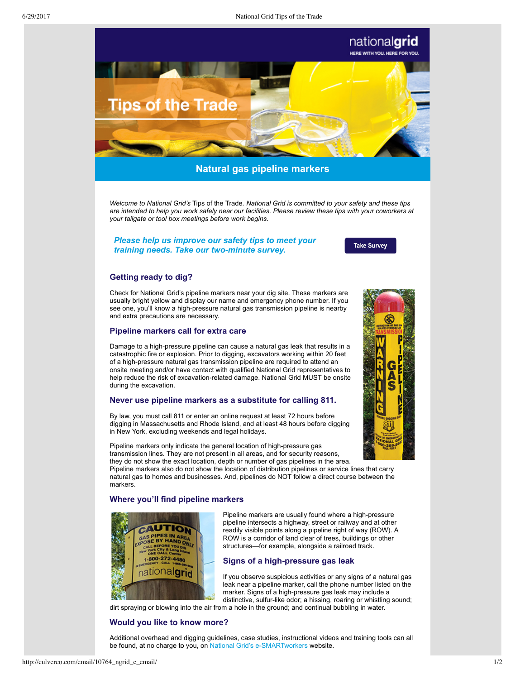

# **Natural gas pipeline markers**

*Welcome to National Grid's* Tips of the Trade*. National Grid is committed to your safety and these tips are intended to help you work safely near our facilities. Please review these tips with your coworkers at your tailgate or tool box meetings before work begins.*

# *[Please help us improve our safety tips to meet your](http://www.ngridsafety.com/contractors/trainers/survey/survey_form.html) training needs. Take our two-minute survey.*

**Take Survey** 

## **Getting ready to dig?**

Check for National Grid's pipeline markers near your dig site. These markers are usually bright yellow and display our name and emergency phone number. If you see one, you'll know a high-pressure natural gas transmission pipeline is nearby and extra precautions are necessary.

## **Pipeline markers call for extra care**

Damage to a high-pressure pipeline can cause a natural gas leak that results in a catastrophic fire or explosion. Prior to digging, excavators working within 20 feet of a high-pressure natural gas transmission pipeline are required to attend an onsite meeting and/or have contact with qualified National Grid representatives to help reduce the risk of excavation-related damage. National Grid MUST be onsite during the excavation.

#### **Never use pipeline markers as a substitute for calling 811.**

By law, you must call 811 or enter an online request at least 72 hours before digging in Massachusetts and Rhode Island, and at least 48 hours before digging in New York, excluding weekends and legal holidays.

Pipeline markers only indicate the general location of high-pressure gas transmission lines. They are not present in all areas, and for security reasons, they do not show the exact location, depth or number of gas pipelines in the area.

Pipeline markers also do not show the location of distribution pipelines or service lines that carry natural gas to homes and businesses. And, pipelines do NOT follow a direct course between the markers.

## **Where you'll find pipeline markers**



Pipeline markers are usually found where a high-pressure pipeline intersects a highway, street or railway and at other readily visible points along a pipeline right of way (ROW). A ROW is a corridor of land clear of trees, buildings or other structures—for example, alongside a railroad track.

## **Signs of a high-pressure gas leak**

If you observe suspicious activities or any signs of a natural gas leak near a pipeline marker, call the phone number listed on the marker. Signs of a high-pressure gas leak may include a distinctive, sulfur-like odor; a hissing, roaring or whistling sound;

dirt spraying or blowing into the air from a hole in the ground; and continual bubbling in water.

# **Would you like to know more?**

Additional overhead and digging guidelines, case studies, instructional videos and training tools can all be found, at no charge to you, on National Grid's e-SMARTworkers website.